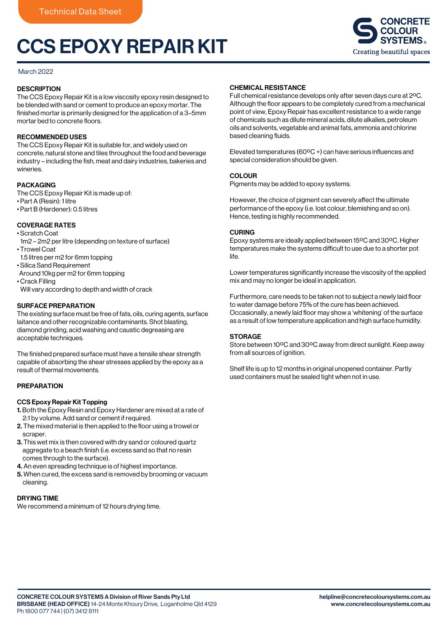# CCS EPOXY REPAIR KIT



#### March 2022

# **DESCRIPTION**

The CCS Epoxy Repair Kit is a low viscosity epoxy resin designed to be blended with sand or cement to produce an epoxy mortar. The finished mortar is primarily designed for the application of a 3–5mm mortar bed to concrete floors.

## RECOMMENDED USES

The CCS Epoxy Repair Kit is suitable for, and widely used on concrete, natural stone and tiles throughout the food and beverage industry – including the fish, meat and dairy industries, bakeries and wineries.

#### PACKAGING

The CCS Epoxy Repair Kit is made up of:

- Part A (Resin): 1 litre
- Part B (Hardener): 0.5 litres

## COVERAGE RATES

• Scratch Coat

- 1m2 2m2 per litre (depending on texture of surface) • Trowel Coat
- 1.5 litres per m2 for 6mm topping
- Silica Sand Requirement
- Around 10kg per m2 for 6mm topping
- Crack Filling Will vary according to depth and width of crack
- 

# SURFACE PREPARATION

The existing surface must be free of fats, oils, curing agents, surface laitance and other recognizable contaminants. Shot blasting, diamond grinding, acid washing and caustic degreasing are acceptable techniques.

The finished prepared surface must have a tensile shear strength capable of absorbing the shear stresses applied by the epoxy as a result of thermal movements.

## PREPARATION

#### CCS Epoxy Repair Kit Topping

- 1. Both the Epoxy Resin and Epoxy Hardener are mixed at a rate of 2:1 by volume. Add sand or cement if required.
- 2. The mixed material is then applied to the floor using a trowel or scraper.
- 3. This wet mix is then covered with dry sand or coloured quartz aggregate to a beach finish (i.e. excess sand so that no resin comes through to the surface).
- 4. An even spreading technique is of highest importance.
- 5. When cured, the excess sand is removed by brooming or vacuum cleaning.

# DRYING TIME

We recommend a minimum of 12 hours drying time.

## CHEMICAL RESISTANCE

Full chemical resistance develops only after seven days cure at 2ºC. Although the floor appears to be completely cured from a mechanical point of view, Epoxy Repair has excellent resistance to a wide range of chemicals such as dilute mineral acids, dilute alkalies, petroleum oils and solvents, vegetable and animal fats, ammonia and chlorine based cleaning fluids.

Elevated temperatures (60ºC +) can have serious influences and special consideration should be given.

## **COLOUR**

Pigments may be added to epoxy systems.

However, the choice of pigment can severely affect the ultimate performance of the epoxy (i.e. lost colour, blemishing and so on). Hence, testing is highly recommended.

#### CURING

Epoxy systems are ideally applied between 15ºC and 30ºC. Higher temperatures make the systems difficult to use due to a shorter pot life.

Lower temperatures significantly increase the viscosity of the applied mix and may no longer be ideal in application.

Furthermore, care needs to be taken not to subject a newly laid floor to water damage before 75% of the cure has been achieved. Occasionally, a newly laid floor may show a 'whitening' of the surface as a result of low temperature application and high surface humidity.

## STORAGE

Store between 10ºC and 30ºC away from direct sunlight. Keep away from all sources of ignition.

Shelf life is up to 12 months in original unopened container. Partly used containers must be sealed tight when not in use.